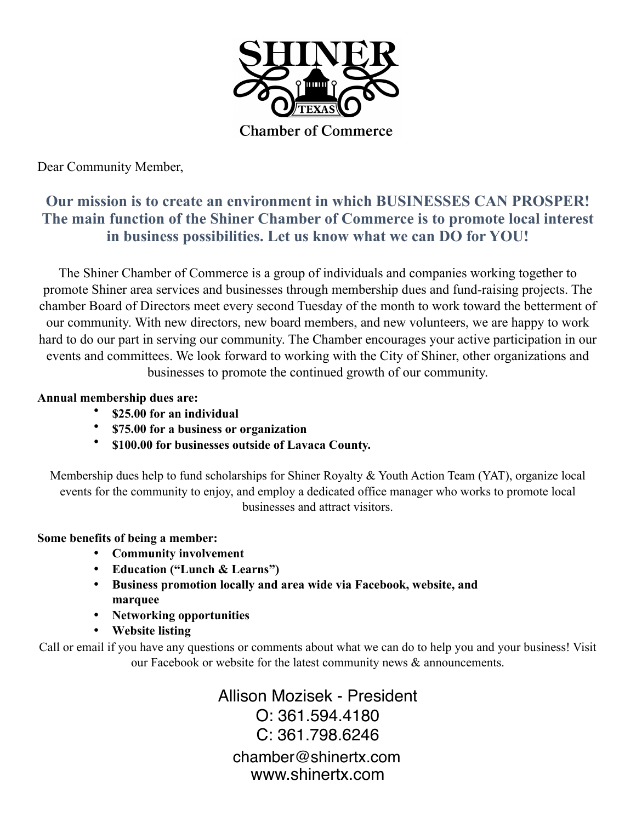

Dear Community Member,

### **Our mission is to create an environment in which BUSINESSES CAN PROSPER! The main function of the Shiner Chamber of Commerce is to promote local interest in business possibilities. Let us know what we can DO for YOU!**

The Shiner Chamber of Commerce is a group of individuals and companies working together to promote Shiner area services and businesses through membership dues and fund-raising projects. The chamber Board of Directors meet every second Tuesday of the month to work toward the betterment of our community. With new directors, new board members, and new volunteers, we are happy to work hard to do our part in serving our community. The Chamber encourages your active participation in our events and committees. We look forward to working with the City of Shiner, other organizations and businesses to promote the continued growth of our community.

#### **Annual membership dues are:**

- **\$25.00 for an individual**
- **\$75.00 for a business or organization**
- **\$100.00 for businesses outside of Lavaca County.**

Membership dues help to fund scholarships for Shiner Royalty & Youth Action Team (YAT), organize local events for the community to enjoy, and employ a dedicated office manager who works to promote local businesses and attract visitors.

#### **Some benefits of being a member:**

- **Community involvement**
- **Education ("Lunch & Learns")**
- **Business promotion locally and area wide via Facebook, website, and marquee**
- **Networking opportunities**
- **Website listing**

Call or email if you have any questions or comments about what we can do to help you and your business! Visit our Facebook or website for the latest community news & announcements.

> Allison Mozisek - President O: 361.594.4180 C: 361.798.6246 chamber@shinertx.com www.shinertx.com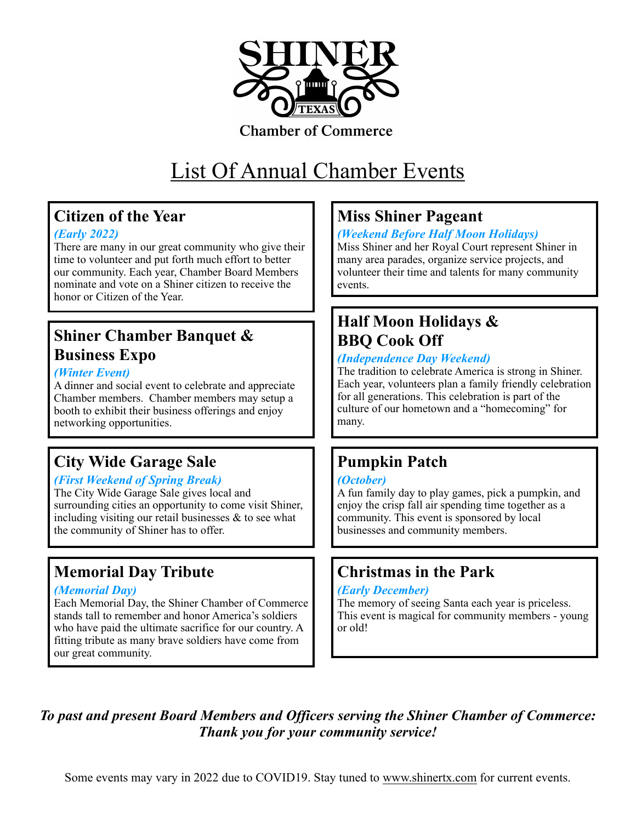

#### **Chamber of Commerce**

# List Of Annual Chamber Events

### **Citizen of the Year**

#### *(Early 2022)*

There are many in our great community who give their time to volunteer and put forth much effort to better our community. Each year, Chamber Board Members nominate and vote on a Shiner citizen to receive the honor or Citizen of the Year.

### **Shiner Chamber Banquet & Business Expo**

#### *(Winter Event)*

A dinner and social event to celebrate and appreciate Chamber members. Chamber members may setup a booth to exhibit their business offerings and enjoy networking opportunities.

### **City Wide Garage Sale**

#### *(First Weekend of Spring Break)*

The City Wide Garage Sale gives local and surrounding cities an opportunity to come visit Shiner, including visiting our retail businesses & to see what the community of Shiner has to offer.

### **Memorial Day Tribute**

#### *(Memorial Day)*

Each Memorial Day, the Shiner Chamber of Commerce stands tall to remember and honor America's soldiers who have paid the ultimate sacrifice for our country. A fitting tribute as many brave soldiers have come from our great community.

### **Miss Shiner Pageant**

#### *(Weekend Before Half Moon Holidays)*

Miss Shiner and her Royal Court represent Shiner in many area parades, organize service projects, and volunteer their time and talents for many community events.

### **Half Moon Holidays & BBQ Cook Off**

#### *(Independence Day Weekend)*

The tradition to celebrate America is strong in Shiner. Each year, volunteers plan a family friendly celebration for all generations. This celebration is part of the culture of our hometown and a "homecoming" for many.

### **Pumpkin Patch**

#### *(October)*

A fun family day to play games, pick a pumpkin, and enjoy the crisp fall air spending time together as a community. This event is sponsored by local businesses and community members.

### **Christmas in the Park**

#### *(Early December)*

The memory of seeing Santa each year is priceless. This event is magical for community members - young or old!

*To past and present Board Members and Officers serving the Shiner Chamber of Commerce: Thank you for your community service!*